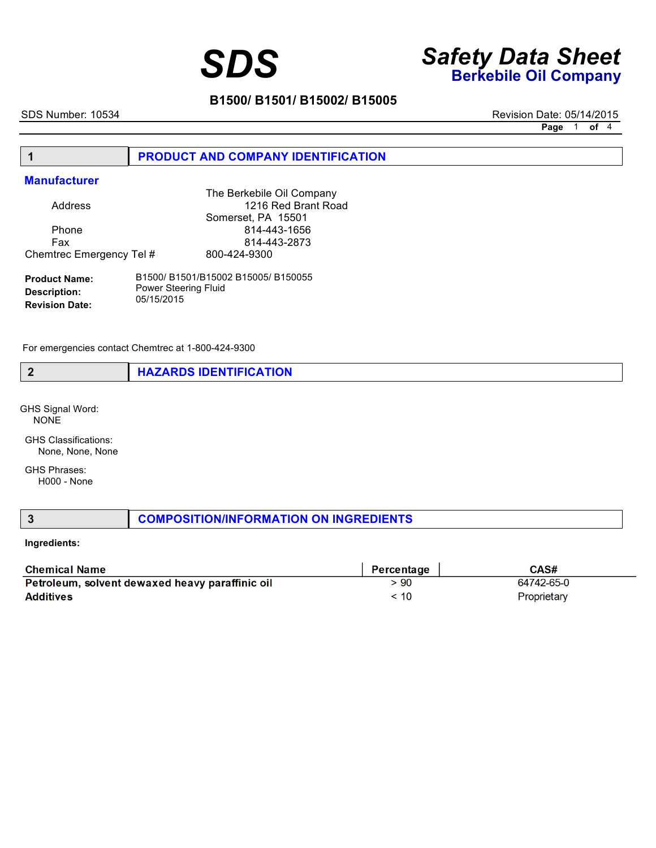# *Safety Data Sheet SDS* **Berkebile Oil Company**

## **B1500/ B1501/ B15002/ B15005**

SDS Number: 10534 **B150055** Revision Date: 05/14/2015 **Page** 1 **of** 4

### **1 PRODUCT AND COMPANY IDENTIFICATION**

### **Manufacturer**

|                          | The Berkebile Oil Company |
|--------------------------|---------------------------|
| Address                  | 1216 Red Brant Road       |
|                          | Somerset, PA 15501        |
| Phone                    | 814-443-1656              |
| Fax                      | 814-443-2873              |
| Chemtrec Emergency Tel # | 800-424-9300              |
|                          |                           |

| <b>Product Name:</b>  | B1500/B1501/B15002B15005/B150055 |
|-----------------------|----------------------------------|
| Description:          | <b>Power Steering Fluid</b>      |
| <b>Revision Date:</b> | 05/15/2015                       |

For emergencies contact Chemtrec at 1-800-424-9300

**2 HAZARDS IDENTIFICATION**

GHS Signal Word: NONE

GHS Classifications: None, None, None

GHS Phrases: H000 - None

**3 COMPOSITION/INFORMATION ON INGREDIENTS** 

### **Ingredients:**

| <b>Chemical Name</b>                            | Percentage                           | CAS#        |
|-------------------------------------------------|--------------------------------------|-------------|
| Petroleum, solvent dewaxed heavy paraffinic oil | .90                                  | 64742-65-0  |
| <b>Additives</b>                                | $\stackrel{<}{\phantom{}_{\sim}} 10$ | Proprietary |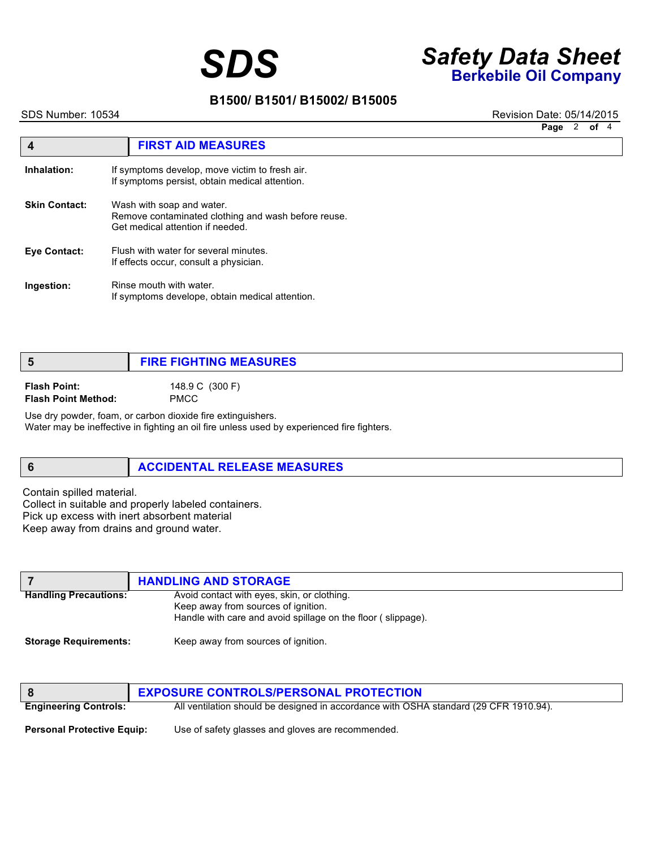# *Safety Data Sheet SDS* **Berkebile Oil Company**

## **B1500/ B1501/ B15002/ B15005**

SDS Number: 10534 **B150055** Revision Date: 05/14/2015

**Page** 2 **of** 4

|                      | <b>FIRST AID MEASURES</b>                                                                                            |
|----------------------|----------------------------------------------------------------------------------------------------------------------|
| Inhalation:          | If symptoms develop, move victim to fresh air.<br>If symptoms persist, obtain medical attention.                     |
| <b>Skin Contact:</b> | Wash with soap and water.<br>Remove contaminated clothing and wash before reuse.<br>Get medical attention if needed. |
| <b>Eve Contact:</b>  | Flush with water for several minutes.<br>If effects occur, consult a physician.                                      |
| Ingestion:           | Rinse mouth with water.<br>If symptoms develope, obtain medical attention.                                           |

## **5 FIRE FIGHTING MEASURES Flash Point:** 148.9 C (300 F) **Flash Point Method:** PMCC

Use dry powder, foam, or carbon dioxide fire extinguishers. Water may be ineffective in fighting an oil fire unless used by experienced fire fighters.

## **6** ACCIDENTAL RELEASE MEASURES

Contain spilled material. Collect in suitable and properly labeled containers. Pick up excess with inert absorbent material Keep away from drains and ground water.

|                              | <b>HANDLING AND STORAGE</b>                                  |
|------------------------------|--------------------------------------------------------------|
| <b>Handling Precautions:</b> | Avoid contact with eyes, skin, or clothing.                  |
|                              | Keep away from sources of ignition.                          |
|                              | Handle with care and avoid spillage on the floor (slippage). |
| <b>Storage Requirements:</b> | Keep away from sources of ignition.                          |

|                                   | <b>EXPOSURE CONTROLS/PERSONAL PROTECTION</b>                                          |
|-----------------------------------|---------------------------------------------------------------------------------------|
| <b>Engineering Controls:</b>      | All ventilation should be designed in accordance with OSHA standard (29 CFR 1910.94). |
| <b>Personal Protective Equip:</b> | Use of safety glasses and gloves are recommended.                                     |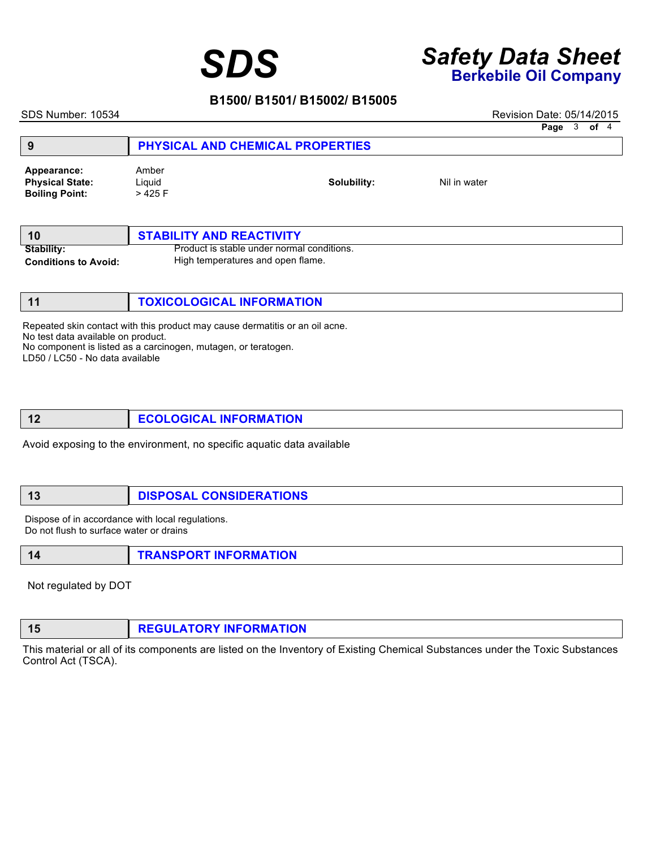# *Safety Data Sheet SDS* **Berkebile Oil Company**

## **B1500/ B1501/ B15002/ B15005**

SDS Number: 10534 **B150055** Revision Date: 05/14/2015

| Page | 3 | оf | $\overline{4}$ |
|------|---|----|----------------|
|------|---|----|----------------|

| 9                                                              |                             | PHYSICAL AND CHEMICAL PROPERTIES |              |  |
|----------------------------------------------------------------|-----------------------------|----------------------------------|--------------|--|
| Appearance:<br><b>Physical State:</b><br><b>Boiling Point:</b> | Amber<br>Liguid<br>$>425$ F | Solubility:                      | Nil in water |  |

|                             | <b>STABILITY AND REACTIVITY</b>            |
|-----------------------------|--------------------------------------------|
| <b>Stability:</b>           | Product is stable under normal conditions. |
| <b>Conditions to Avoid:</b> | High temperatures and open flame.          |

| TOXICOLOGICAL INFORMATION |
|---------------------------|
|                           |

Repeated skin contact with this product may cause dermatitis or an oil acne.

No test data available on product.

No component is listed as a carcinogen, mutagen, or teratogen.

LD50 / LC50 - No data available

Avoid exposing to the environment, no specific aquatic data available

## **13 DISPOSAL CONSIDERATIONS**

Dispose of in accordance with local regulations. Do not flush to surface water or drains

|  |  | <b>TRANSPORT INFORMATION</b> |
|--|--|------------------------------|
|--|--|------------------------------|

Not regulated by DOT

This material or all of its components are listed on the Inventory of Existing Chemical Substances under the Toxic Substances Control Act (TSCA).